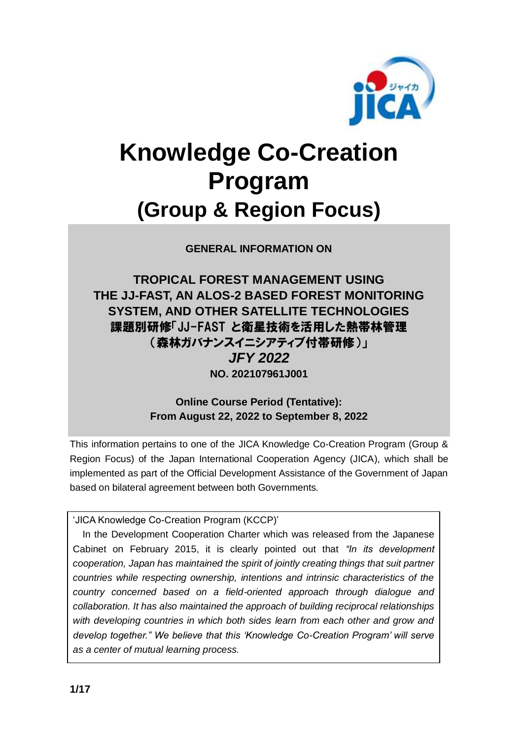

# **Knowledge Co-Creation Program (Group & Region Focus)**

**GENERAL INFORMATION ON**

**TROPICAL FOREST MANAGEMENT USING THE JJ-FAST, AN ALOS-2 BASED FOREST MONITORING SYSTEM, AND OTHER SATELLITE TECHNOLOGIES** 課題別研修「JJ-FAST と衛星技術を活用した熱帯林管理 (森林ガバナンスイニシアティブ付帯研修)」 *JFY 2022* **NO. 202107961J001**

> **Online Course Period (Tentative): From August 22, 2022 to September 8, 2022**

This information pertains to one of the JICA Knowledge Co-Creation Program (Group & Region Focus) of the Japan International Cooperation Agency (JICA), which shall be implemented as part of the Official Development Assistance of the Government of Japan based on bilateral agreement between both Governments.

'JICA Knowledge Co-Creation Program (KCCP)'

In the Development Cooperation Charter which was released from the Japanese Cabinet on February 2015, it is clearly pointed out that *"In its development cooperation, Japan has maintained the spirit of jointly creating things that suit partner countries while respecting ownership, intentions and intrinsic characteristics of the country concerned based on a field-oriented approach through dialogue and collaboration. It has also maintained the approach of building reciprocal relationships with developing countries in which both sides learn from each other and grow and develop together." We believe that this 'Knowledge Co-Creation Program' will serve as a center of mutual learning process.*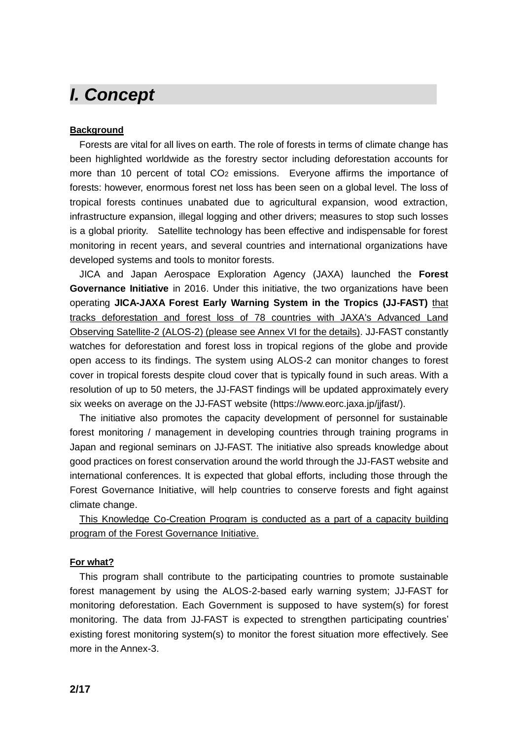### *I. Concept*

#### **Background**

Forests are vital for all lives on earth. The role of forests in terms of climate change has been highlighted worldwide as the forestry sector including deforestation accounts for more than 10 percent of total CO2 emissions. Everyone affirms the importance of forests: however, enormous forest net loss has been seen on a global level. The loss of tropical forests continues unabated due to agricultural expansion, wood extraction, infrastructure expansion, illegal logging and other drivers; measures to stop such losses is a global priority. Satellite technology has been effective and indispensable for forest monitoring in recent years, and several countries and international organizations have developed systems and tools to monitor forests.

JICA and Japan Aerospace Exploration Agency (JAXA) launched the **Forest Governance Initiative** in 2016. Under this initiative, the two organizations have been operating **JICA-JAXA Forest Early Warning System in the Tropics (JJ-FAST)** that tracks deforestation and forest loss of 78 countries with JAXA's Advanced Land Observing Satellite-2 (ALOS-2) (please see Annex VI for the details). JJ-FAST constantly watches for deforestation and forest loss in tropical regions of the globe and provide open access to its findings. The system using ALOS-2 can monitor changes to forest cover in tropical forests despite cloud cover that is typically found in such areas. With a resolution of up to 50 meters, the JJ-FAST findings will be updated approximately every six weeks on average on the JJ-FAST website (https://www.eorc.jaxa.jp/jjfast/).

The initiative also promotes the capacity development of personnel for sustainable forest monitoring / management in developing countries through training programs in Japan and regional seminars on JJ-FAST. The initiative also spreads knowledge about good practices on forest conservation around the world through the JJ-FAST website and international conferences. It is expected that global efforts, including those through the Forest Governance Initiative, will help countries to conserve forests and fight against climate change.

This Knowledge Co-Creation Program is conducted as a part of a capacity building program of the Forest Governance Initiative.

#### **For what?**

This program shall contribute to the participating countries to promote sustainable forest management by using the ALOS-2-based early warning system; JJ-FAST for monitoring deforestation. Each Government is supposed to have system(s) for forest monitoring. The data from JJ-FAST is expected to strengthen participating countries' existing forest monitoring system(s) to monitor the forest situation more effectively. See more in the Annex-3.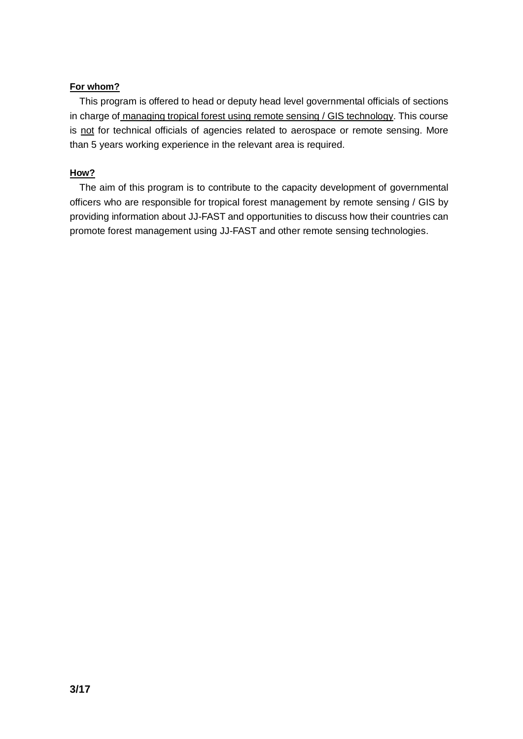#### **For whom?**

This program is offered to head or deputy head level governmental officials of sections in charge of managing tropical forest using remote sensing / GIS technology. This course is not for technical officials of agencies related to aerospace or remote sensing. More than 5 years working experience in the relevant area is required.

#### **How?**

The aim of this program is to contribute to the capacity development of governmental officers who are responsible for tropical forest management by remote sensing / GIS by providing information about JJ-FAST and opportunities to discuss how their countries can promote forest management using JJ-FAST and other remote sensing technologies.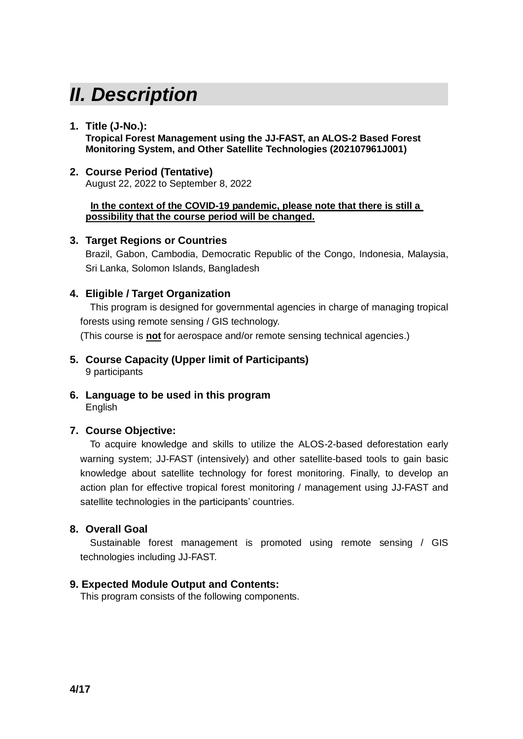# *II. Description*

#### **1. Title (J-No.):**

**Tropical Forest Management using the JJ-FAST, an ALOS-2 Based Forest Monitoring System, and Other Satellite Technologies (202107961J001)**

#### **2. Course Period (Tentative)**

August 22, 2022 to September 8, 2022

#### **In the context of the COVID-19 pandemic, please note that there is still a possibility that the course period will be changed.**

#### **3. Target Regions or Countries**

Brazil, Gabon, Cambodia, Democratic Republic of the Congo, Indonesia, Malaysia, Sri Lanka, Solomon Islands, Bangladesh

#### **4. Eligible / Target Organization**

This program is designed for governmental agencies in charge of managing tropical forests using remote sensing / GIS technology.

(This course is **not** for aerospace and/or remote sensing technical agencies.)

- **5. Course Capacity (Upper limit of Participants)** 9 participants
- **6. Language to be used in this program** English

#### **7. Course Objective:**

To acquire knowledge and skills to utilize the ALOS-2-based deforestation early warning system; JJ-FAST (intensively) and other satellite-based tools to gain basic knowledge about satellite technology for forest monitoring. Finally, to develop an action plan for effective tropical forest monitoring / management using JJ-FAST and satellite technologies in the participants' countries.

#### **8. Overall Goal**

Sustainable forest management is promoted using remote sensing / GIS technologies including JJ-FAST.

#### **9. Expected Module Output and Contents:**

This program consists of the following components.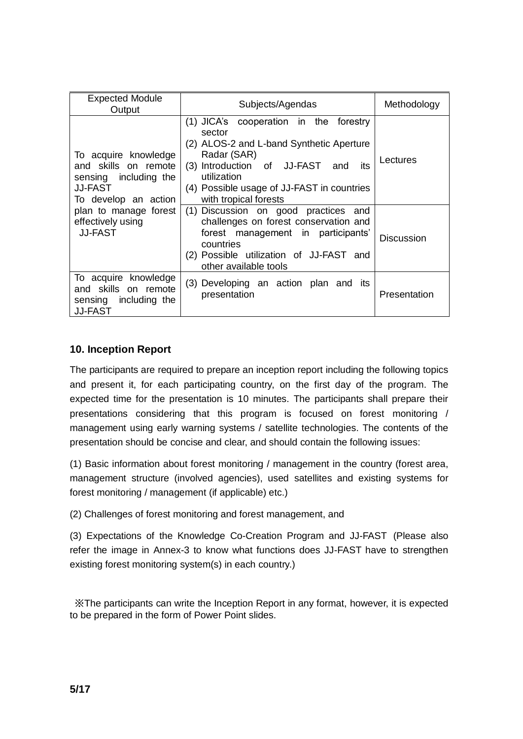| <b>Expected Module</b><br>Output                                                                                                                                                | Subjects/Agendas                                                                                                                                                                                                                                                                                                                                                      | Methodology       |
|---------------------------------------------------------------------------------------------------------------------------------------------------------------------------------|-----------------------------------------------------------------------------------------------------------------------------------------------------------------------------------------------------------------------------------------------------------------------------------------------------------------------------------------------------------------------|-------------------|
| To acquire knowledge<br>and skills on remote<br>sensing including the<br><b>JJ-FAST</b><br>To develop an action<br>plan to manage forest<br>effectively using<br><b>JJ-FAST</b> | (1) JICA's cooperation in the forestry<br>sector<br>(2) ALOS-2 and L-band Synthetic Aperture<br>Radar (SAR)<br>(3) Introduction of JJ-FAST<br>its<br>and<br>utilization<br>(4) Possible usage of JJ-FAST in countries<br>with tropical forests<br>(1) Discussion on good practices and<br>challenges on forest conservation and<br>forest management in participants' | Lectures          |
|                                                                                                                                                                                 | countries<br>(2) Possible utilization of JJ-FAST and<br>other available tools                                                                                                                                                                                                                                                                                         | <b>Discussion</b> |
| To acquire knowledge<br>and skills on remote<br>sensing including the<br><b>JJ-FAST</b>                                                                                         | (3) Developing an action plan and its<br>presentation                                                                                                                                                                                                                                                                                                                 | Presentation      |

#### **10. Inception Report**

The participants are required to prepare an inception report including the following topics and present it, for each participating country, on the first day of the program. The expected time for the presentation is 10 minutes. The participants shall prepare their presentations considering that this program is focused on forest monitoring / management using early warning systems / satellite technologies. The contents of the presentation should be concise and clear, and should contain the following issues:

(1) Basic information about forest monitoring / management in the country (forest area, management structure (involved agencies), used satellites and existing systems for forest monitoring / management (if applicable) etc.)

(2) Challenges of forest monitoring and forest management, and

(3) Expectations of the Knowledge Co-Creation Program and JJ-FAST (Please also refer the image in Annex-3 to know what functions does JJ-FAST have to strengthen existing forest monitoring system(s) in each country.)

※The participants can write the Inception Report in any format, however, it is expected to be prepared in the form of Power Point slides.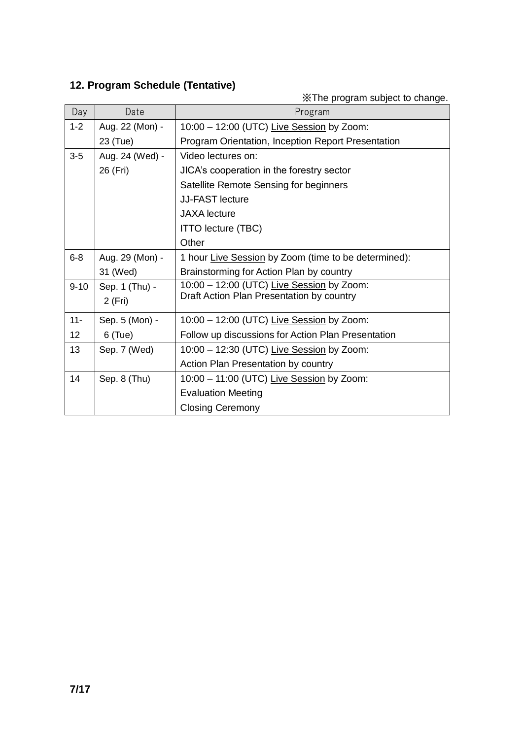### **12. Program Schedule (Tentative)**

※The program subject to change.

| Day             | Date            | Program                                                                                |
|-----------------|-----------------|----------------------------------------------------------------------------------------|
| $1 - 2$         | Aug. 22 (Mon) - | 10:00 - 12:00 (UTC) Live Session by Zoom:                                              |
|                 | 23 (Tue)        | Program Orientation, Inception Report Presentation                                     |
| $3-5$           | Aug. 24 (Wed) - | Video lectures on:                                                                     |
|                 | 26 (Fri)        | JICA's cooperation in the forestry sector                                              |
|                 |                 | Satellite Remote Sensing for beginners                                                 |
|                 |                 | <b>JJ-FAST lecture</b>                                                                 |
|                 |                 | <b>JAXA</b> lecture                                                                    |
|                 |                 | <b>ITTO lecture (TBC)</b>                                                              |
|                 |                 | Other                                                                                  |
| $6 - 8$         | Aug. 29 (Mon) - | 1 hour Live Session by Zoom (time to be determined):                                   |
|                 | 31 (Wed)        | Brainstorming for Action Plan by country                                               |
| $9 - 10$        | Sep. 1 (Thu) -  | 10:00 - 12:00 (UTC) Live Session by Zoom:<br>Draft Action Plan Presentation by country |
|                 | 2 (Fri)         |                                                                                        |
| $11 -$          | Sep. 5 (Mon) -  | 10:00 - 12:00 (UTC) Live Session by Zoom:                                              |
| 12 <sup>°</sup> | $6$ (Tue)       | Follow up discussions for Action Plan Presentation                                     |
| 13              | Sep. 7 (Wed)    | 10:00 - 12:30 (UTC) Live Session by Zoom:                                              |
|                 |                 | Action Plan Presentation by country                                                    |
| 14              | Sep. 8 (Thu)    | 10:00 - 11:00 (UTC) Live Session by Zoom:                                              |
|                 |                 | <b>Evaluation Meeting</b>                                                              |
|                 |                 | <b>Closing Ceremony</b>                                                                |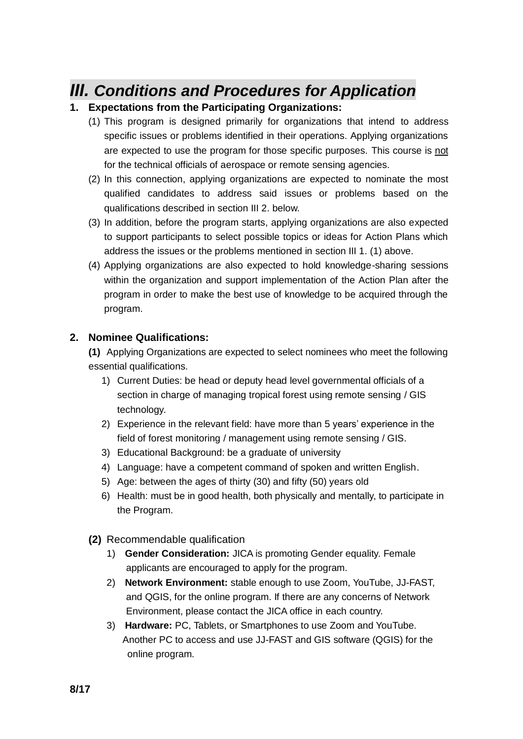### *III. Conditions and Procedures for Application*

#### **1. Expectations from the Participating Organizations:**

- (1) This program is designed primarily for organizations that intend to address specific issues or problems identified in their operations. Applying organizations are expected to use the program for those specific purposes. This course is not for the technical officials of aerospace or remote sensing agencies.
- (2) In this connection, applying organizations are expected to nominate the most qualified candidates to address said issues or problems based on the qualifications described in section III 2. below.
- (3) In addition, before the program starts, applying organizations are also expected to support participants to select possible topics or ideas for Action Plans which address the issues or the problems mentioned in section III 1. (1) above.
- (4) Applying organizations are also expected to hold knowledge-sharing sessions within the organization and support implementation of the Action Plan after the program in order to make the best use of knowledge to be acquired through the program.

#### **2. Nominee Qualifications:**

**(1)** Applying Organizations are expected to select nominees who meet the following essential qualifications.

- 1) Current Duties: be head or deputy head level governmental officials of a section in charge of managing tropical forest using remote sensing / GIS technology.
- 2) Experience in the relevant field: have more than 5 years' experience in the field of forest monitoring / management using remote sensing / GIS.
- 3) Educational Background: be a graduate of university
- 4) Language: have a competent command of spoken and written English.
- 5) Age: between the ages of thirty (30) and fifty (50) years old
- 6) Health: must be in good health, both physically and mentally, to participate in the Program.
- **(2)** Recommendable qualification
	- 1) **Gender Consideration:** JICA is promoting Gender equality. Female applicants are encouraged to apply for the program.
	- 2) **Network Environment:** stable enough to use Zoom, YouTube, JJ-FAST, and QGIS, for the online program. If there are any concerns of Network Environment, please contact the JICA office in each country.
	- 3) **Hardware:** PC, Tablets, or Smartphones to use Zoom and YouTube. Another PC to access and use JJ-FAST and GIS software (QGIS) for the online program.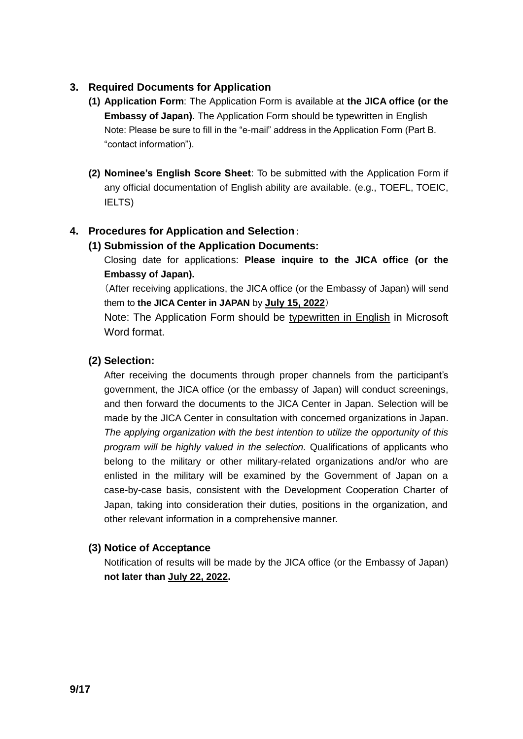#### **3. Required Documents for Application**

- **(1) Application Form**: The Application Form is available at **the JICA office (or the Embassy of Japan).** The Application Form should be typewritten in English Note: Please be sure to fill in the "e-mail" address in the Application Form (Part B. "contact information").
- **(2) Nominee's English Score Sheet**: To be submitted with the Application Form if any official documentation of English ability are available. (e.g., TOEFL, TOEIC, IELTS)

#### **4. Procedures for Application and Selection**:

#### **(1) Submission of the Application Documents:**

Closing date for applications: **Please inquire to the JICA office (or the Embassy of Japan).**

(After receiving applications, the JICA office (or the Embassy of Japan) will send them to **the JICA Center in JAPAN** by **July 15, 2022**)

Note: The Application Form should be typewritten in English in Microsoft Word format.

#### **(2) Selection:**

After receiving the documents through proper channels from the participant's government, the JICA office (or the embassy of Japan) will conduct screenings, and then forward the documents to the JICA Center in Japan. Selection will be made by the JICA Center in consultation with concerned organizations in Japan. *The applying organization with the best intention to utilize the opportunity of this program will be highly valued in the selection.* Qualifications of applicants who belong to the military or other military-related organizations and/or who are enlisted in the military will be examined by the Government of Japan on a case-by-case basis, consistent with the Development Cooperation Charter of Japan, taking into consideration their duties, positions in the organization, and other relevant information in a comprehensive manner.

#### **(3) Notice of Acceptance**

Notification of results will be made by the JICA office (or the Embassy of Japan) **not later than July 22, 2022.**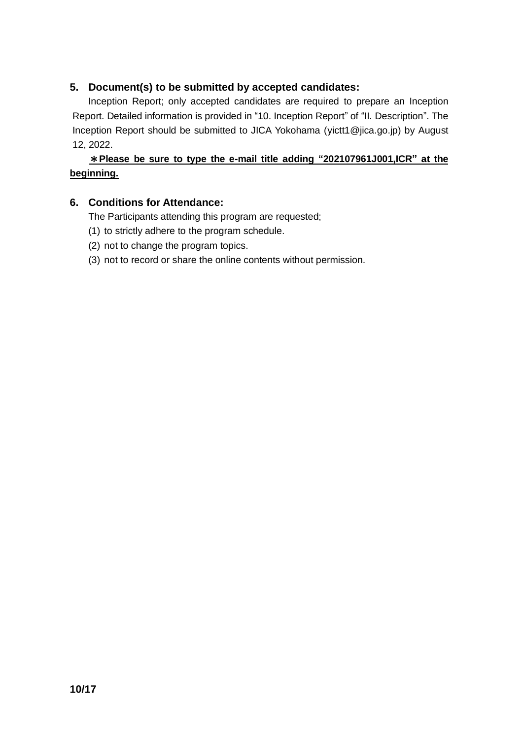#### **5. Document(s) to be submitted by accepted candidates:**

Inception Report; only accepted candidates are required to prepare an Inception Report. Detailed information is provided in "10. Inception Report" of "II. Description". The Inception Report should be submitted to JICA Yokohama (yictt1@jica.go.jp) by August 12, 2022.

#### \***Please be sure to type the e-mail title adding "202107961J001,ICR" at the beginning.**

#### **6. Conditions for Attendance:**

The Participants attending this program are requested;

- (1) to strictly adhere to the program schedule.
- (2) not to change the program topics.
- (3) not to record or share the online contents without permission.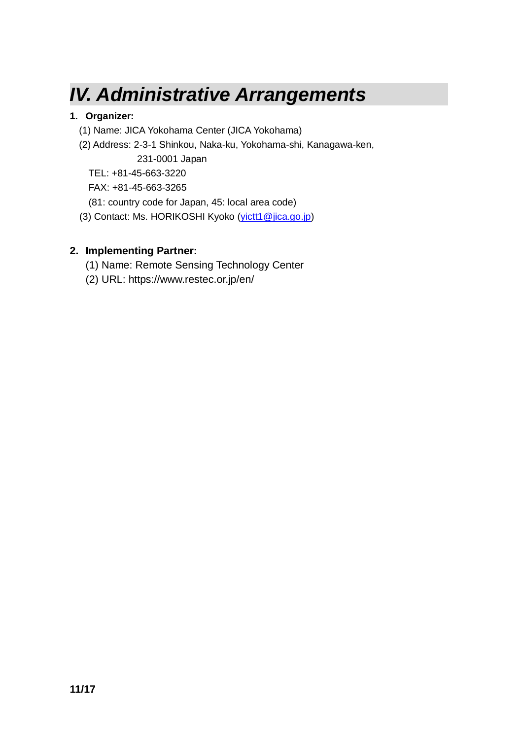## *IV. Administrative Arrangements*

#### **1. Organizer:**

- (1) Name: JICA Yokohama Center (JICA Yokohama)
- (2) Address: 2-3-1 Shinkou, Naka-ku, Yokohama-shi, Kanagawa-ken, 231-0001 Japan

TEL: +81-45-663-3220

FAX: +81-45-663-3265

(81: country code for Japan, 45: local area code)

(3) Contact: Ms. HORIKOSHI Kyoko [\(yictt1@jica.go.jp\)](mailto:Horikoshi.Kyoko@jica.go.jp)

### **2. Implementing Partner:**

- (1) Name: Remote Sensing Technology Center
- (2) URL: https://www.restec.or.jp/en/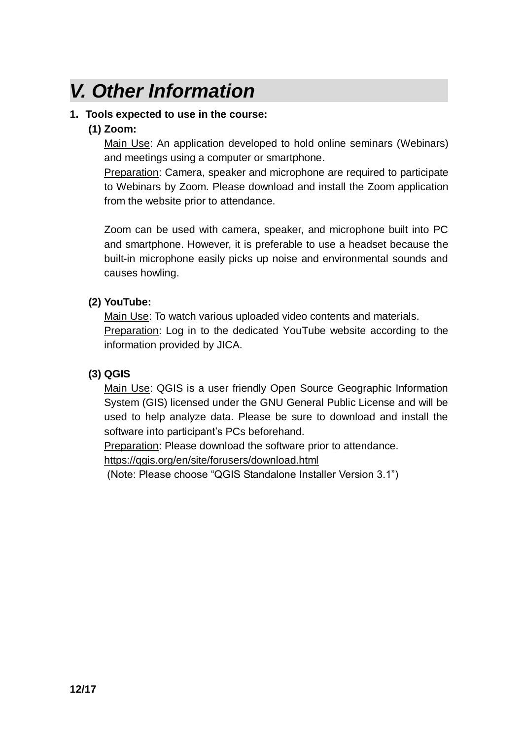# *V. Other Information*

#### **1. Tools expected to use in the course:**

#### **(1) Zoom:**

Main Use: An application developed to hold online seminars (Webinars) and meetings using a computer or smartphone.

Preparation: Camera, speaker and microphone are required to participate to Webinars by Zoom. Please download and install the Zoom application from the website prior to attendance.

Zoom can be used with camera, speaker, and microphone built into PC and smartphone. However, it is preferable to use a headset because the built-in microphone easily picks up noise and environmental sounds and causes howling.

#### **(2) YouTube:**

Main Use: To watch various uploaded video contents and materials. Preparation: Log in to the dedicated YouTube website according to the information provided by JICA.

#### **(3) QGIS**

Main Use: QGIS is a user friendly Open Source Geographic Information System (GIS) licensed under the GNU General Public License and will be used to help analyze data. Please be sure to download and install the software into participant's PCs beforehand.

Preparation: Please download the software prior to attendance. <https://qgis.org/en/site/forusers/download.html>

(Note: Please choose "QGIS Standalone Installer Version 3.1")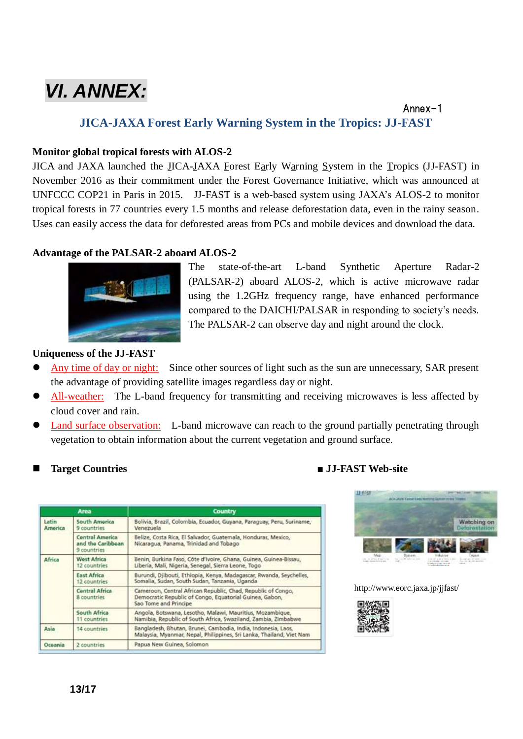# *VI. ANNEX:*

#### Annex-1 **JICA-JAXA Forest Early Warning System in the Tropics: JJ-FAST**

#### **Monitor global tropical forests with ALOS-2**

JICA and JAXA launched the JICA-JAXA Forest Early Warning System in the Tropics (JJ-FAST) in November 2016 as their commitment under the Forest Governance Initiative, which was announced at UNFCCC COP21 in Paris in 2015. JJ-FAST is a web-based system using JAXA's ALOS-2 to monitor tropical forests in 77 countries every 1.5 months and release deforestation data, even in the rainy season. Uses can easily access the data for deforested areas from PCs and mobile devices and download the data.

#### **Advantage of the PALSAR-2 aboard ALOS-2**



The state-of-the-art L-band Synthetic Aperture Radar-2 (PALSAR-2) aboard ALOS-2, which is active microwave radar using the 1.2GHz frequency range, have enhanced performance compared to the DAICHI/PALSAR in responding to society's needs. The PALSAR-2 can observe day and night around the clock.

#### **Uniqueness of the JJ-FAST**

- Any time of day or night: Since other sources of light such as the sun are unnecessary, SAR present the advantage of providing satellite images regardless day or night.
- All-weather: The L-band frequency for transmitting and receiving microwaves is less affected by cloud cover and rain.
- Land surface observation: L-band microwave can reach to the ground partially penetrating through vegetation to obtain information about the current vegetation and ground surface.

|                  | Area                                                | <b>Country</b>                                                                                                                                   |  |
|------------------|-----------------------------------------------------|--------------------------------------------------------------------------------------------------------------------------------------------------|--|
| Latin<br>America | <b>South America</b><br>9 countries                 | Bolivia, Brazil, Colombia, Ecuador, Guyana, Paraguay, Peru, Suriname,<br>Venezuela                                                               |  |
|                  | Central America<br>and the Caribbean<br>9 countries | Belize, Costa Rica, El Salvador, Guatemala, Honduras, Mexico,<br>Nicaragua, Panama, Trinidad and Tobago                                          |  |
| Africa           | <b>West Africa</b><br>12 countries                  | Benin, Burkina Faso, Côte d'Ivoire, Ghana, Guinea, Guinea-Bissau,<br>Liberia, Mali, Nigeria, Senegal, Sierra Leone, Togo                         |  |
|                  | <b>East Africa</b><br>12 countries                  | Burundi, Djibouti, Ethiopia, Kenya, Madagascar, Rwanda, Seychelles,<br>Somalia, Sudan, South Sudan, Tanzania, Uganda                             |  |
|                  | <b>Central Africa</b><br>8 countries                | Cameroon, Central African Republic, Chad, Republic of Congo,<br>Democratic Republic of Congo, Equatorial Guinea, Gabon,<br>Sao Tome and Principe |  |
|                  | South Africa<br>11 countries                        | Angola, Botswana, Lesotho, Malawi, Mauritius, Mozambique,<br>Namibia, Republic of South Africa, Swaziland, Zambia, Zimbabwe.                     |  |
| Asia             | 14 countries                                        | Bangladesh, Bhutan, Brunei, Cambodia, India, Indonesia, Laos.<br>Malaysia, Myanmar, Nepal, Philippines, Sri Lanka, Thailand, Viet Nam            |  |
| Oceania          | 2 countries                                         | Papua New Guinea, Solomon                                                                                                                        |  |

#### **Target Countries** ■ **JJ-FAST Web-site**



http://www.eorc.jaxa.jp/jjfast/

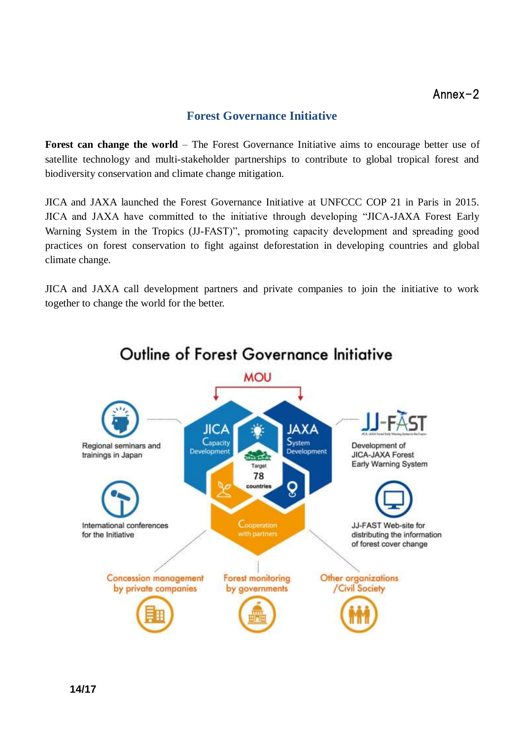#### **Forest Governance Initiative**

**Forest can change the world** – The Forest Governance Initiative aims to encourage better use of satellite technology and multi-stakeholder partnerships to contribute to global tropical forest and biodiversity conservation and climate change mitigation.

JICA and JAXA launched the Forest Governance Initiative at UNFCCC COP 21 in Paris in 2015. JICA and JAXA have committed to the initiative through developing "JICA-JAXA Forest Early Warning System in the Tropics (JJ-FAST)", promoting capacity development and spreading good practices on forest conservation to fight against deforestation in developing countries and global climate change.

JICA and JAXA call development partners and private companies to join the initiative to work together to change the world for the better.

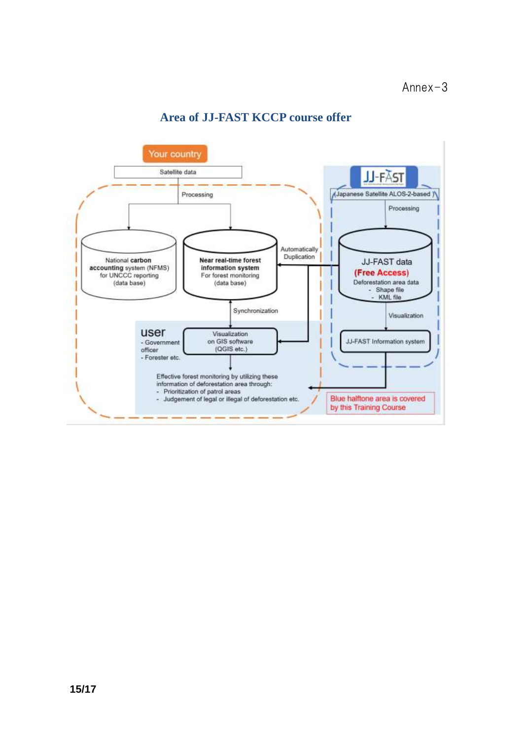

#### **Area of JJ-FAST KCCP course offer**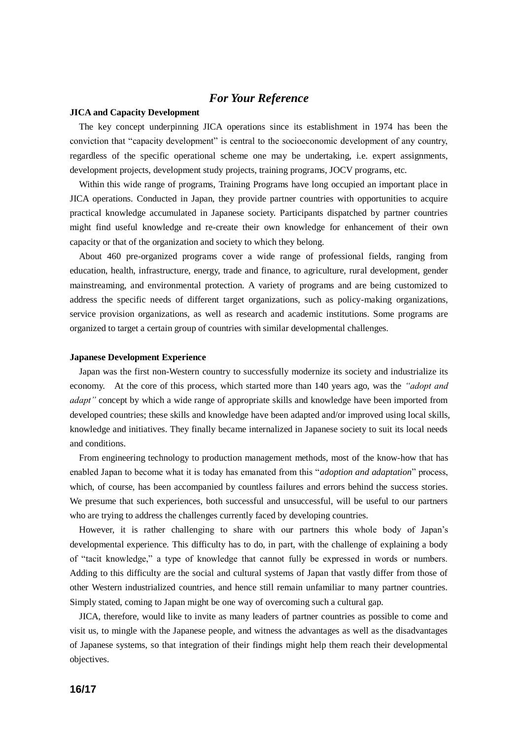#### *For Your Reference*

#### **JICA and Capacity Development**

The key concept underpinning JICA operations since its establishment in 1974 has been the conviction that "capacity development" is central to the socioeconomic development of any country, regardless of the specific operational scheme one may be undertaking, i.e. expert assignments, development projects, development study projects, training programs, JOCV programs, etc.

Within this wide range of programs, Training Programs have long occupied an important place in JICA operations. Conducted in Japan, they provide partner countries with opportunities to acquire practical knowledge accumulated in Japanese society. Participants dispatched by partner countries might find useful knowledge and re-create their own knowledge for enhancement of their own capacity or that of the organization and society to which they belong.

About 460 pre-organized programs cover a wide range of professional fields, ranging from education, health, infrastructure, energy, trade and finance, to agriculture, rural development, gender mainstreaming, and environmental protection. A variety of programs and are being customized to address the specific needs of different target organizations, such as policy-making organizations, service provision organizations, as well as research and academic institutions. Some programs are organized to target a certain group of countries with similar developmental challenges.

#### **Japanese Development Experience**

Japan was the first non-Western country to successfully modernize its society and industrialize its economy. At the core of this process, which started more than 140 years ago, was the *"adopt and adapt"* concept by which a wide range of appropriate skills and knowledge have been imported from developed countries; these skills and knowledge have been adapted and/or improved using local skills, knowledge and initiatives. They finally became internalized in Japanese society to suit its local needs and conditions.

From engineering technology to production management methods, most of the know-how that has enabled Japan to become what it is today has emanated from this "*adoption and adaptation*" process, which, of course, has been accompanied by countless failures and errors behind the success stories. We presume that such experiences, both successful and unsuccessful, will be useful to our partners who are trying to address the challenges currently faced by developing countries.

However, it is rather challenging to share with our partners this whole body of Japan's developmental experience. This difficulty has to do, in part, with the challenge of explaining a body of "tacit knowledge," a type of knowledge that cannot fully be expressed in words or numbers. Adding to this difficulty are the social and cultural systems of Japan that vastly differ from those of other Western industrialized countries, and hence still remain unfamiliar to many partner countries. Simply stated, coming to Japan might be one way of overcoming such a cultural gap.

JICA, therefore, would like to invite as many leaders of partner countries as possible to come and visit us, to mingle with the Japanese people, and witness the advantages as well as the disadvantages of Japanese systems, so that integration of their findings might help them reach their developmental objectives.